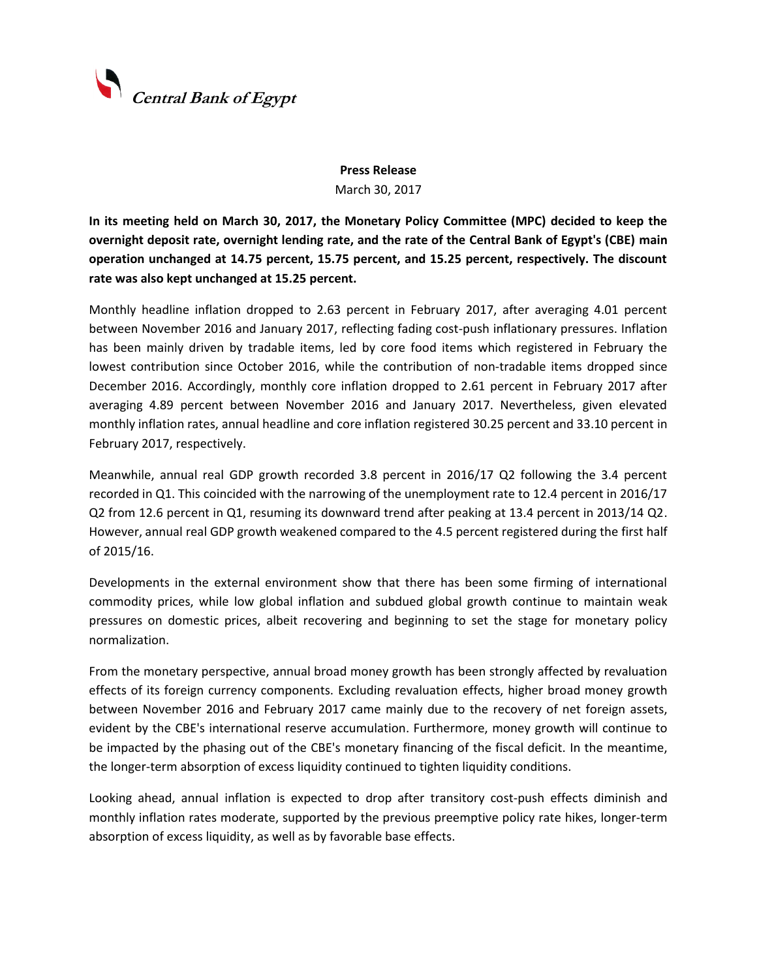

## **Press Release** March 30, 2017

**In its meeting held on March 30, 2017, the Monetary Policy Committee (MPC) decided to keep the overnight deposit rate, overnight lending rate, and the rate of the Central Bank of Egypt's (CBE) main operation unchanged at 14.75 percent, 15.75 percent, and 15.25 percent, respectively. The discount rate was also kept unchanged at 15.25 percent.**

Monthly headline inflation dropped to 2.63 percent in February 2017, after averaging 4.01 percent between November 2016 and January 2017, reflecting fading cost-push inflationary pressures. Inflation has been mainly driven by tradable items, led by core food items which registered in February the lowest contribution since October 2016, while the contribution of non-tradable items dropped since December 2016. Accordingly, monthly core inflation dropped to 2.61 percent in February 2017 after averaging 4.89 percent between November 2016 and January 2017. Nevertheless, given elevated monthly inflation rates, annual headline and core inflation registered 30.25 percent and 33.10 percent in February 2017, respectively.

Meanwhile, annual real GDP growth recorded 3.8 percent in 2016/17 Q2 following the 3.4 percent recorded in Q1. This coincided with the narrowing of the unemployment rate to 12.4 percent in 2016/17 Q2 from 12.6 percent in Q1, resuming its downward trend after peaking at 13.4 percent in 2013/14 Q2. However, annual real GDP growth weakened compared to the 4.5 percent registered during the first half of 2015/16.

Developments in the external environment show that there has been some firming of international commodity prices, while low global inflation and subdued global growth continue to maintain weak pressures on domestic prices, albeit recovering and beginning to set the stage for monetary policy normalization.

From the monetary perspective, annual broad money growth has been strongly affected by revaluation effects of its foreign currency components. Excluding revaluation effects, higher broad money growth between November 2016 and February 2017 came mainly due to the recovery of net foreign assets, evident by the CBE's international reserve accumulation. Furthermore, money growth will continue to be impacted by the phasing out of the CBE's monetary financing of the fiscal deficit. In the meantime, the longer-term absorption of excess liquidity continued to tighten liquidity conditions.

Looking ahead, annual inflation is expected to drop after transitory cost-push effects diminish and monthly inflation rates moderate, supported by the previous preemptive policy rate hikes, longer-term absorption of excess liquidity, as well as by favorable base effects.